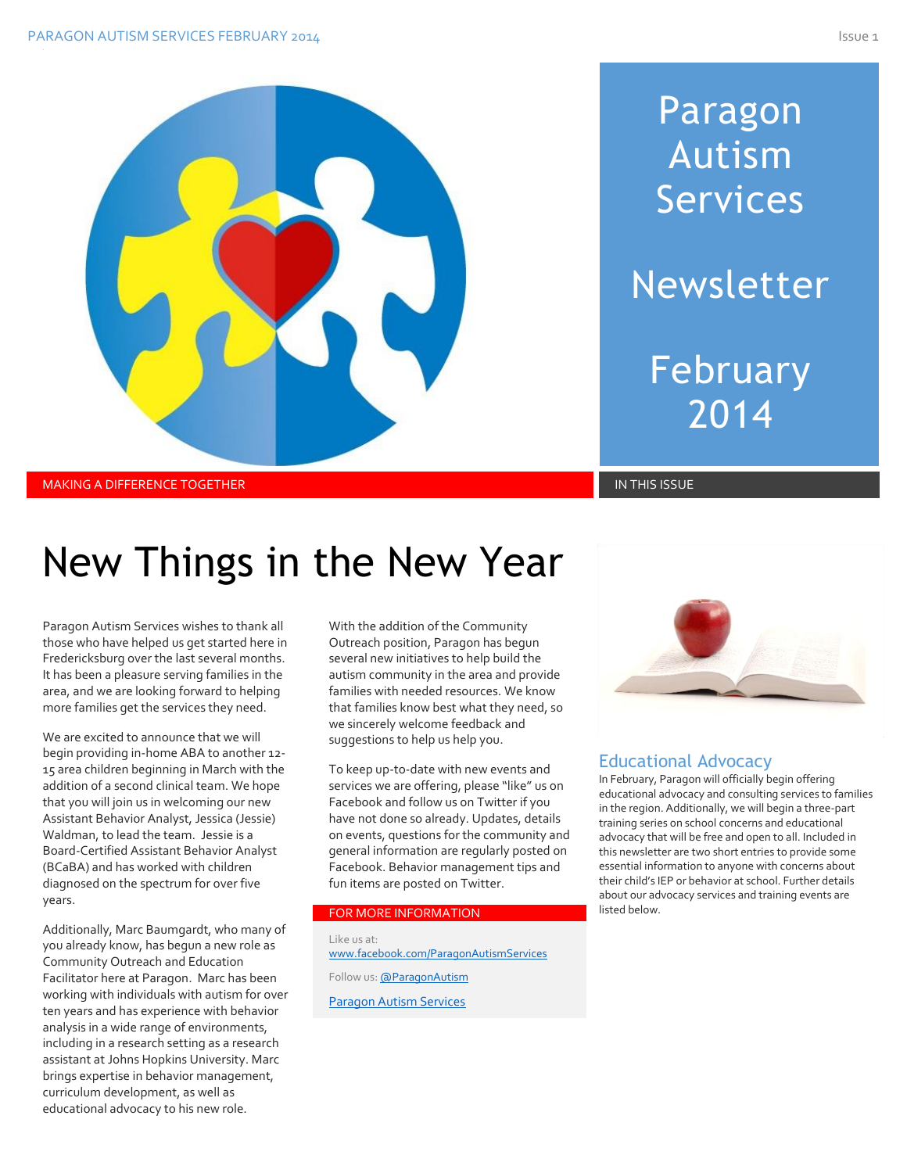

# Paragon Autism Services Newsletter February 2014

## New Things in the New Year

Paragon Autism Services wishes to thank all those who have helped us get started here in Fredericksburg over the last several months. It has been a pleasure serving families in the area, and we are looking forward to helping more families get the services they need.

We are excited to announce that we will begin providing in-home ABA to another 12- 15 area children beginning in March with the addition of a second clinical team. We hope that you will join us in welcoming our new Assistant Behavior Analyst, Jessica (Jessie) Waldman, to lead the team. Jessie is a Board-Certified Assistant Behavior Analyst (BCaBA) and has worked with children diagnosed on the spectrum for over five years.

Additionally, Marc Baumgardt, who many of you already know, has begun a new role as Community Outreach and Education Facilitator here at Paragon. Marc has been working with individuals with autism for over ten years and has experience with behavior analysis in a wide range of environments, including in a research setting as a research assistant at Johns Hopkins University. Marc brings expertise in behavior management, curriculum development, as well as educational advocacy to his new role.

With the addition of the Community Outreach position, Paragon has begun several new initiatives to help build the autism community in the area and provide families with needed resources. We know that families know best what they need, so we sincerely welcome feedback and suggestions to help us help you.

To keep up-to-date with new events and services we are offering, please "like" us on Facebook and follow us on Twitter if you have not done so already. Updates, details on events, questions for the community and general information are regularly posted on Facebook. Behavior management tips and fun items are posted on Twitter.

#### FOR MORE INFORMATION

Like us at: [www.facebook.com/ParagonAutismServices](http://www.facebook.com/ParagonAutismServices) Follow us[: @ParagonAutism](https://twitter.com/ParagonAutism) [Paragon Autism Services](http://paragonautismservices.com/)



### Educational Advocacy

In February, Paragon will officially begin offering educational advocacy and consulting services to families in the region. Additionally, we will begin a three-part training series on school concerns and educational advocacy that will be free and open to all. Included in this newsletter are two short entries to provide some essential information to anyone with concerns about their child's IEP or behavior at school. Further details about our advocacy services and training events are listed below.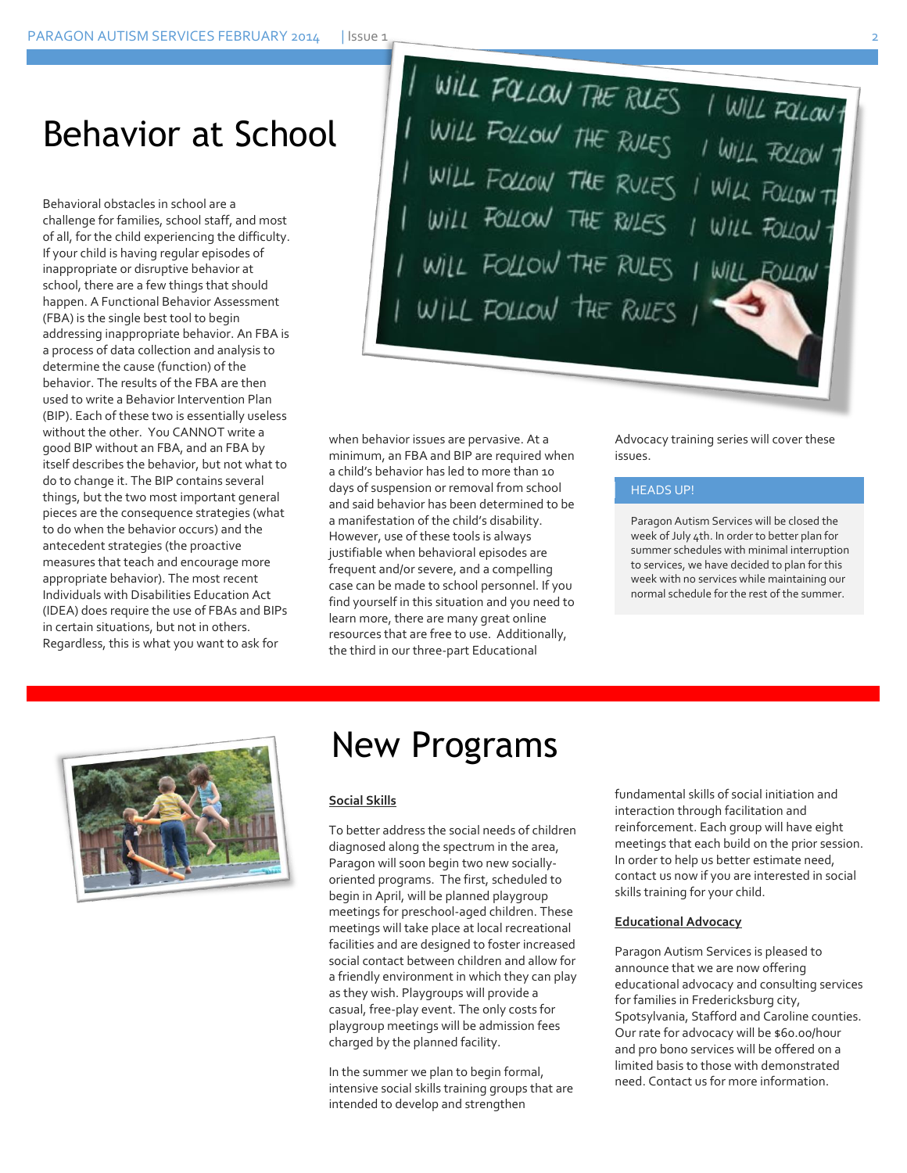### Behavior at School

Behavioral obstacles in school are a challenge for families, school staff, and most of all, for the child experiencing the difficulty. If your child is having regular episodes of inappropriate or disruptive behavior at school, there are a few things that should happen. A Functional Behavior Assessment (FBA) is the single best tool to begin addressing inappropriate behavior. An FBA is a process of data collection and analysis to determine the cause (function) of the behavior. The results of the FBA are then used to write a Behavior Intervention Plan (BIP). Each of these two is essentially useless without the other. You CANNOT write a good BIP without an FBA, and an FBA by itself describes the behavior, but not what to do to change it. The BIP contains several things, but the two most important general pieces are the consequence strategies (what to do when the behavior occurs) and the antecedent strategies (the proactive measures that teach and encourage more appropriate behavior). The most recent Individuals with Disabilities Education Act (IDEA) does require the use of FBAs and BIPs in certain situations, but not in others. Regardless, this is what you want to ask for

I WILL FOLLOW THE RUES I WILL FOLLOW THE RUES I WILL FOLLOW THE RUES I WILL FOLLOW TO WILL FOLLOW TO WILL FOLLOW THE RULES I WILL FOLLOW TO WILL FOLLOW TO WILL FOLLOW TO WILL FOLLOW TO WILL FOLLOW FOLLOW THE WILL FOLLOW THE RULES

when behavior issues are pervasive. At a minimum, an FBA and BIP are required when a child's behavior has led to more than 10 days of suspension or removal from school and said behavior has been determined to be a manifestation of the child's disability. However, use of these tools is always justifiable when behavioral episodes are frequent and/or severe, and a compelling case can be made to school personnel. If you find yourself in this situation and you need to learn more, there are many great online resources that are free to use. Additionally, the third in our three-part Educational

Advocacy training series will cover these issues.

#### HEADS UP!

Paragon Autism Services will be closed the week of July 4th. In order to better plan for summer schedules with minimal interruption to services, we have decided to plan for this week with no services while maintaining our normal schedule for the rest of the summer.



### New Programs

#### **Social Skills**

To better address the social needs of children diagnosed along the spectrum in the area, Paragon will soon begin two new sociallyoriented programs. The first, scheduled to begin in April, will be planned playgroup meetings for preschool-aged children. These meetings will take place at local recreational facilities and are designed to foster increased social contact between children and allow for a friendly environment in which they can play as they wish. Playgroups will provide a casual, free-play event. The only costs for playgroup meetings will be admission fees charged by the planned facility.

In the summer we plan to begin formal, intensive social skills training groups that are intended to develop and strengthen

fundamental skills of social initiation and interaction through facilitation and reinforcement. Each group will have eight meetings that each build on the prior session. In order to help us better estimate need, contact us now if you are interested in social skills training for your child.

#### **Educational Advocacy**

Paragon Autism Services is pleased to announce that we are now offering educational advocacy and consulting services for families in Fredericksburg city, Spotsylvania, Stafford and Caroline counties. Our rate for advocacy will be \$60.00/hour and pro bono services will be offered on a limited basis to those with demonstrated need. Contact us for more information.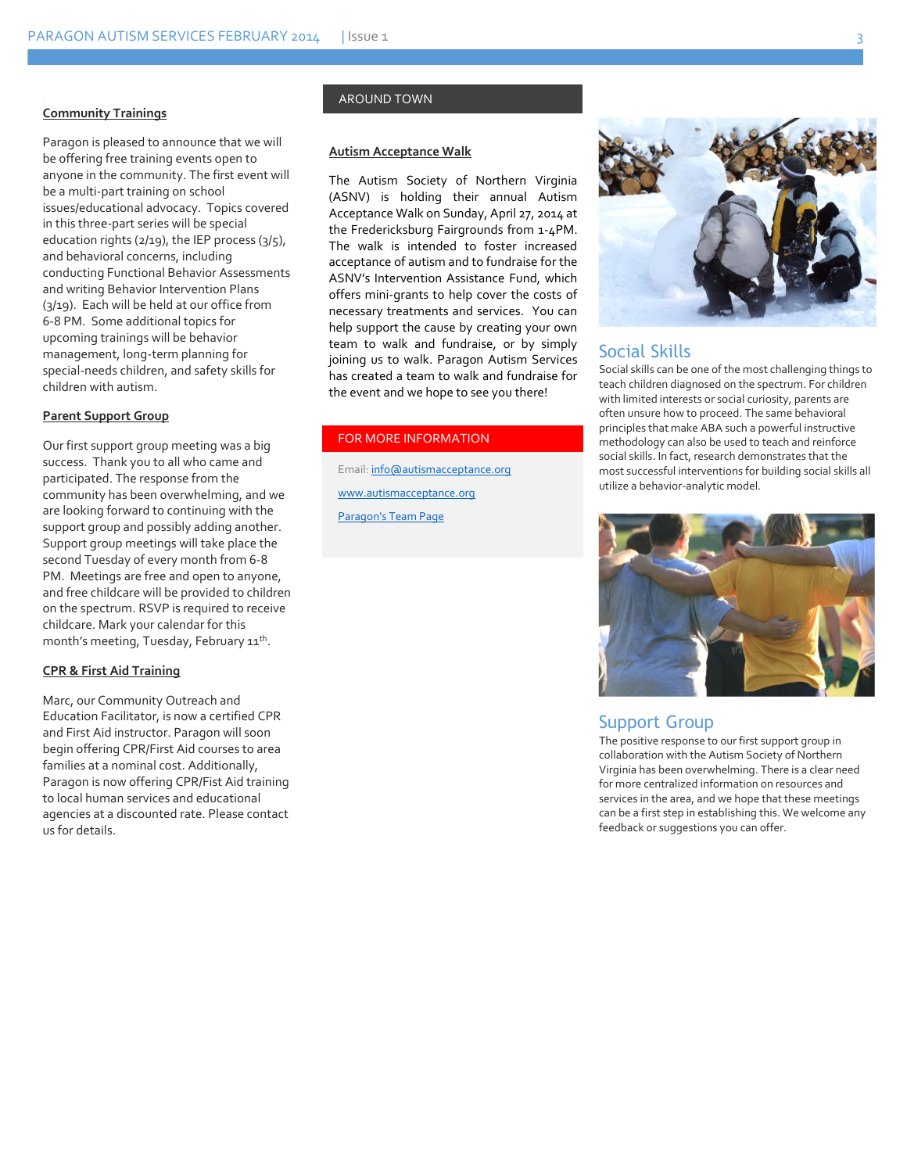#### **Community Trainings**

Paragon is pleased to announce that we will be offering free training events open to anyone in the community. The first event will be a multi-part training on school issues/educational advocacy. Topics covered in this three-part series will be special education rights (2/19), the IEP process (3/5), and behavioral concerns, including conducting Functional Behavior Assessments and writing Behavior Intervention Plans (3/19). Each will be held at our office from 6-8 PM. Some additional topics for upcoming trainings will be behavior management, long-term planning for special-needs children, and safety skills for children with autism.

#### **Parent Support Group**

Our first support group meeting was a big success. Thank you to all who came and participated. The response from the community has been overwhelming, and we are looking forward to continuing with the support group and possibly adding another. Support group meetings will take place the second Tuesday of every month from 6-8 PM. Meetings are free and open to anyone, and free childcare will be provided to children on the spectrum. RSVP is required to receive childcare. Mark your calendar for this month's meeting, Tuesday, February 11<sup>th</sup>.

#### **CPR & First Aid Training**

Marc, our Community Outreach and Education Facilitator, is now a certified CPR and First Aid instructor. Paragon will soon begin offering CPR/First Aid courses to area families at a nominal cost. Additionally, Paragon is now offering CPR/Fist Aid training to local human services and educational agencies at a discounted rate. Please contact us for details.

#### AROUND TOWN

#### **Autism Acceptance Walk**

The Autism Society of Northern Virginia (ASNV) is holding their annual Autism Acceptance Walk on Sunday, April 27, 2014 at the Fredericksburg Fairgrounds from 1-4PM. The walk is intended to foster increased acceptance of autism and to fundraise for the ASNV's Intervention Assistance Fund, which offers mini-grants to help cover the costs of necessary treatments and services. You can help support the cause by creating your own team to walk and fundraise, or by simply joining us to walk. Paragon Autism Services has created a team to walk and fundraise for the event and we hope to see you there!

#### FOR MORE INFORMATION

Email[: info@autismacceptance.org](mailto:info@autismacceptance.org) [www.autismacceptance.org](http://www.autismacceptance.org/) [Paragon's Team Page](http://autismacceptance.org/teams/detail/c492ca3f6b)



#### Social Skills

Social skills can be one of the most challenging things to teach children diagnosed on the spectrum. For children with limited interests or social curiosity, parents are often unsure how to proceed. The same behavioral principles that make ABA such a powerful instructive methodology can also be used to teach and reinforce social skills. In fact, research demonstrates that the most successful interventions for building social skills all utilize a behavior-analytic model.



#### Support Group

The positive response to our first support group in collaboration with the Autism Society of Northern Virginia has been overwhelming. There is a clear need for more centralized information on resources and services in the area, and we hope that these meetings can be a first step in establishing this. We welcome any feedback or suggestions you can offer.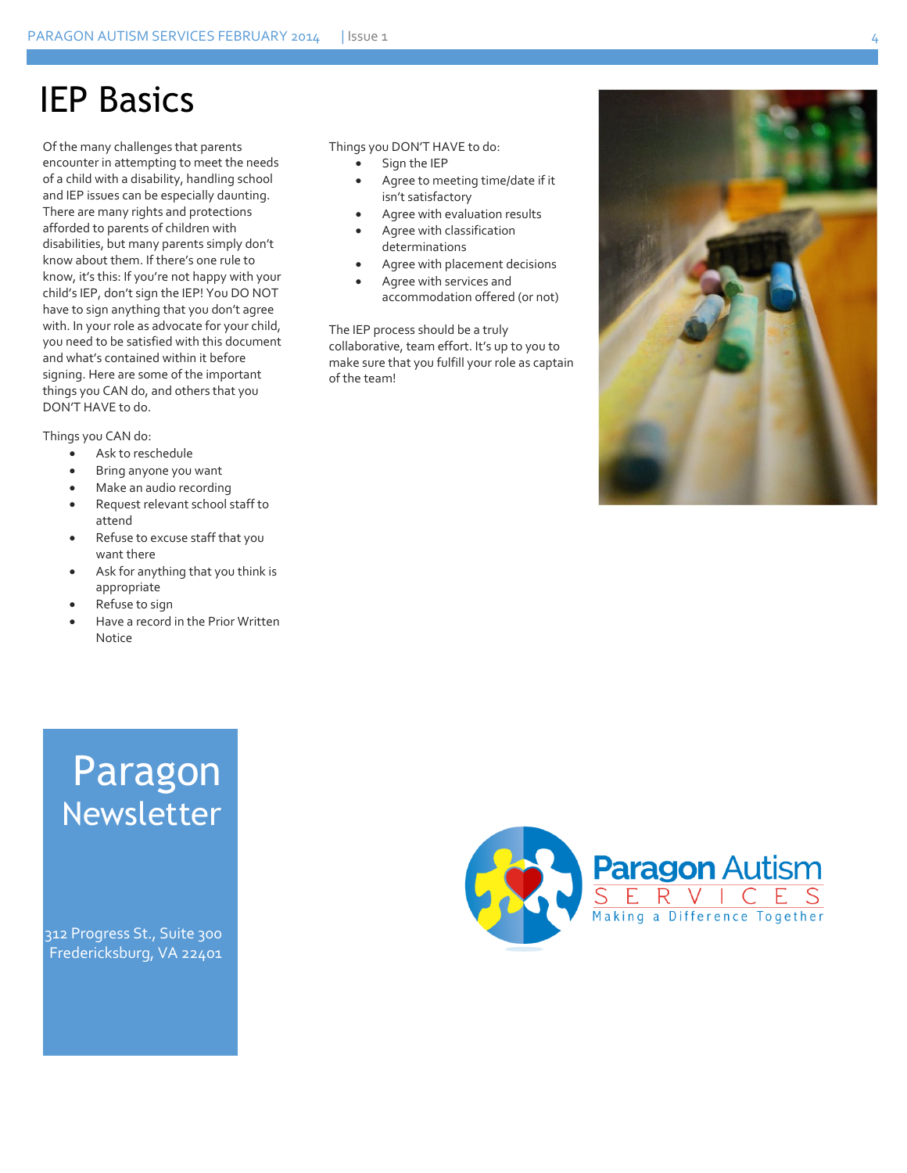### IEP Basics

Of the many challenges that parents encounter in attempting to meet the needs of a child with a disability, handling school and IEP issues can be especially daunting. There are many rights and protections afforded to parents of children with disabilities, but many parents simply don't know about them. If there's one rule to know, it's this: If you're not happy with your child's IEP, don't sign the IEP! You DO NOT have to sign anything that you don't agree with. In your role as advocate for your child, you need to be satisfied with this document and what's contained within it before signing. Here are some of the important things you CAN do, and others that you DON'T HAVE to do.

Things you CAN do:

- Ask to reschedule
- Bring anyone you want
- Make an audio recording
- Request relevant school staff to attend
- Refuse to excuse staff that you want there
- Ask for anything that you think is appropriate
- Refuse to sign
- Have a record in the Prior Written Notice

#### Things you DON'T HAVE to do:

• Sign the IEP

- Agree to meeting time/date if it isn't satisfactory
- Agree with evaluation results
- Agree with classification determinations
- Agree with placement decisions
- Agree with services and accommodation offered (or not)

The IEP process should be a truly collaborative, team effort. It's up to you to make sure that you fulfill your role as captain of the team!



### Paragon Newsletter

312 Progress St., Suite 300 Fredericksburg, VA 22401